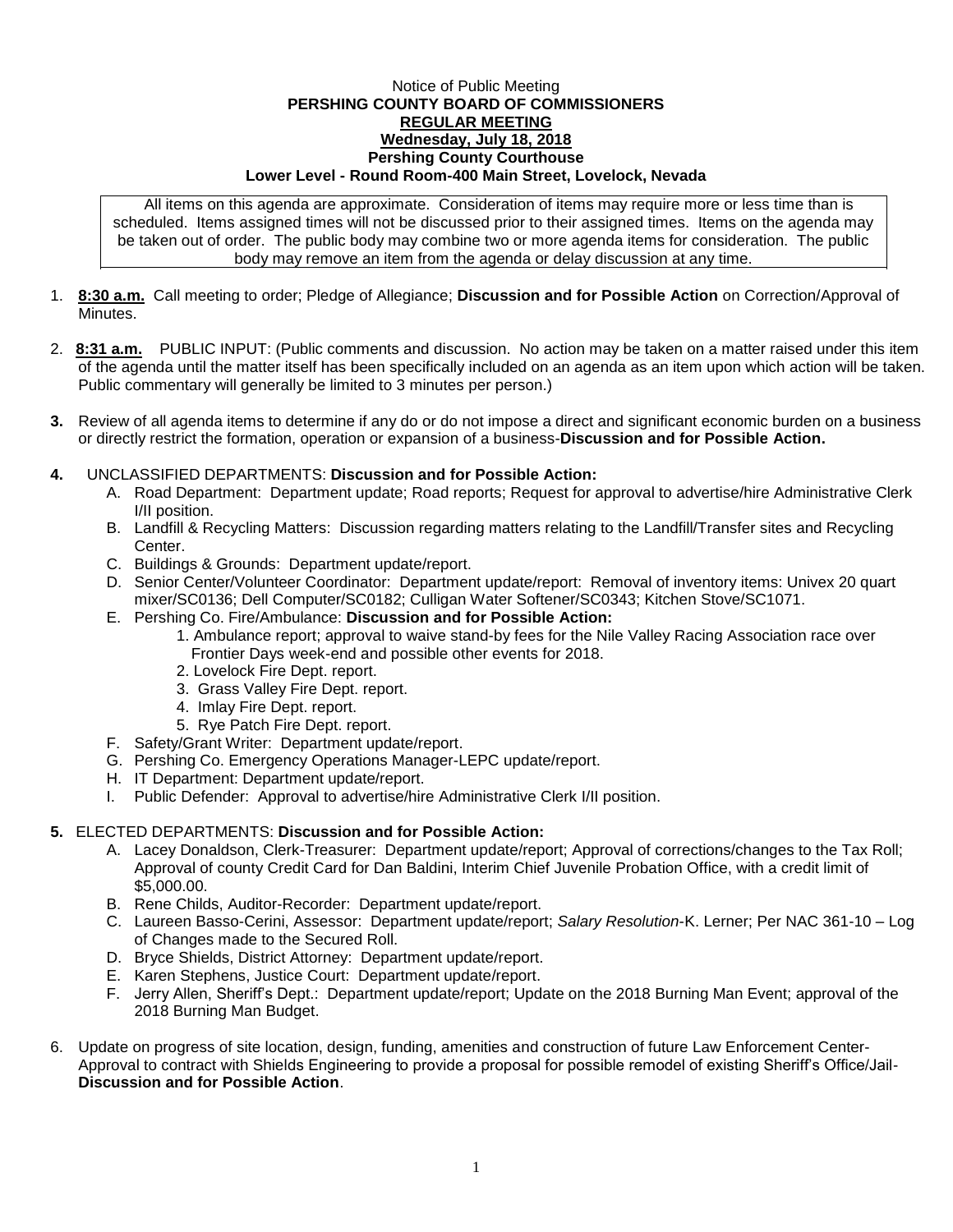## Notice of Public Meeting **PERSHING COUNTY BOARD OF COMMISSIONERS REGULAR MEETING Wednesday, July 18, 2018 Pershing County Courthouse Lower Level - Round Room-400 Main Street, Lovelock, Nevada**

All items on this agenda are approximate. Consideration of items may require more or less time than is scheduled. Items assigned times will not be discussed prior to their assigned times. Items on the agenda may be taken out of order. The public body may combine two or more agenda items for consideration. The public body may remove an item from the agenda or delay discussion at any time.

- 1. **8:30 a.m.** Call meeting to order; Pledge of Allegiance; **Discussion and for Possible Action** on Correction/Approval of **Minutes**
- 2. **8:31 a.m.** PUBLIC INPUT: (Public comments and discussion. No action may be taken on a matter raised under this item of the agenda until the matter itself has been specifically included on an agenda as an item upon which action will be taken. Public commentary will generally be limited to 3 minutes per person.)
- **3.** Review of all agenda items to determine if any do or do not impose a direct and significant economic burden on a business or directly restrict the formation, operation or expansion of a business-**Discussion and for Possible Action.**
- **4.** UNCLASSIFIED DEPARTMENTS: **Discussion and for Possible Action:**
	- A. Road Department: Department update; Road reports; Request for approval to advertise/hire Administrative Clerk I/II position.
	- B. Landfill & Recycling Matters: Discussion regarding matters relating to the Landfill/Transfer sites and Recycling Center.
	- C. Buildings & Grounds: Department update/report.
	- D. Senior Center/Volunteer Coordinator: Department update/report: Removal of inventory items: Univex 20 quart mixer/SC0136; Dell Computer/SC0182; Culligan Water Softener/SC0343; Kitchen Stove/SC1071.
	- E. Pershing Co. Fire/Ambulance: **Discussion and for Possible Action:**
		- 1. Ambulance report; approval to waive stand-by fees for the Nile Valley Racing Association race over Frontier Days week-end and possible other events for 2018.
		- 2. Lovelock Fire Dept. report.
		- 3. Grass Valley Fire Dept. report.
		- 4. Imlay Fire Dept. report.
		- 5. Rye Patch Fire Dept. report.
	- F. Safety/Grant Writer: Department update/report.
	- G. Pershing Co. Emergency Operations Manager-LEPC update/report.
	- H. IT Department: Department update/report.
	- I. Public Defender: Approval to advertise/hire Administrative Clerk I/II position.

## **5.** ELECTED DEPARTMENTS: **Discussion and for Possible Action:**

- A. Lacey Donaldson, Clerk-Treasurer: Department update/report; Approval of corrections/changes to the Tax Roll; Approval of county Credit Card for Dan Baldini, Interim Chief Juvenile Probation Office, with a credit limit of \$5,000.00.
- B. Rene Childs, Auditor-Recorder: Department update/report.
- C. Laureen Basso-Cerini, Assessor: Department update/report; *Salary Resolution*-K. Lerner; Per NAC 361-10 Log of Changes made to the Secured Roll.
- D. Bryce Shields, District Attorney: Department update/report.
- E. Karen Stephens, Justice Court: Department update/report.
- F. Jerry Allen, Sheriff's Dept.: Department update/report; Update on the 2018 Burning Man Event; approval of the 2018 Burning Man Budget.
- 6. Update on progress of site location, design, funding, amenities and construction of future Law Enforcement Center-Approval to contract with Shields Engineering to provide a proposal for possible remodel of existing Sheriff's Office/Jail-**Discussion and for Possible Action**.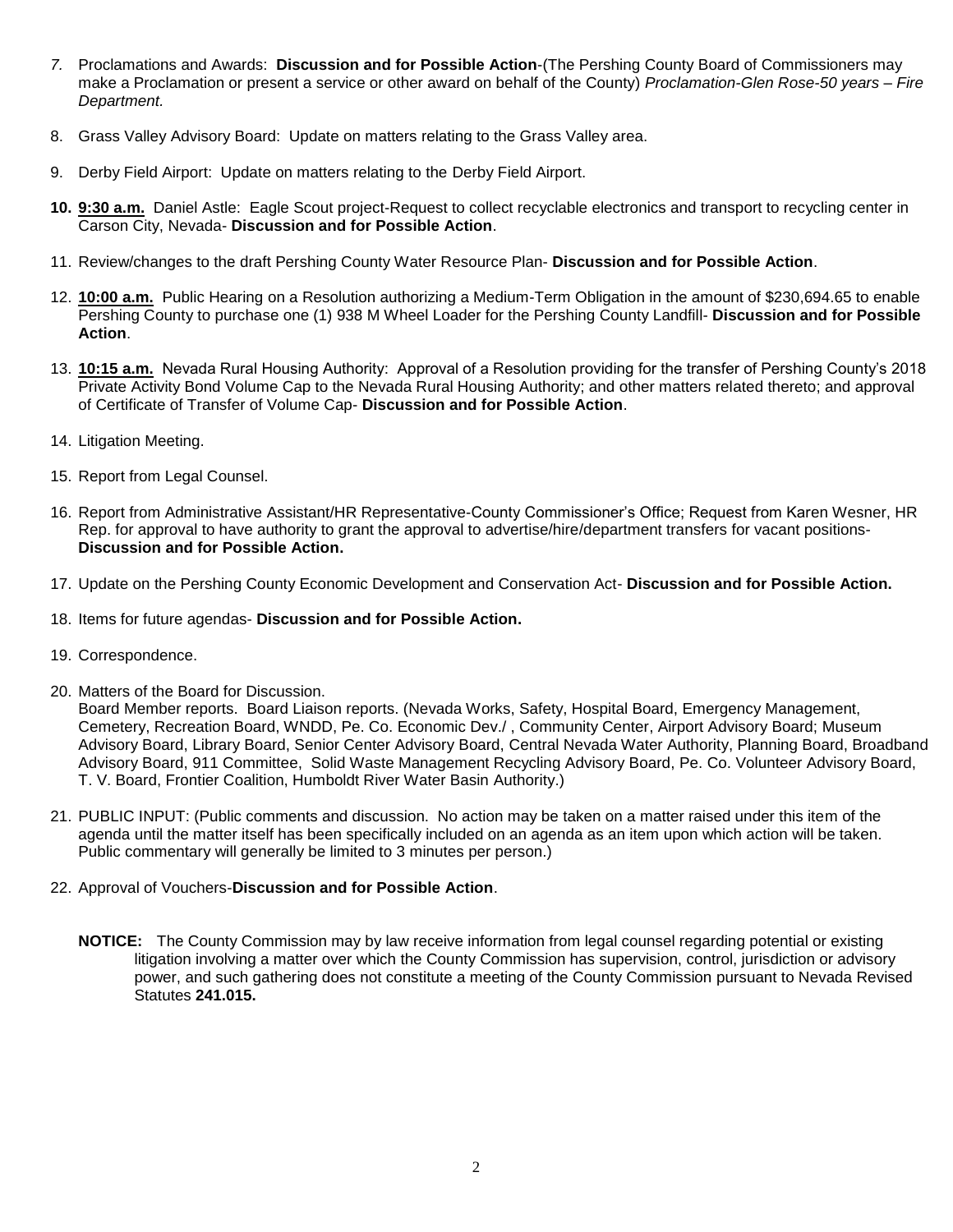- *7.* Proclamations and Awards: **Discussion and for Possible Action**-(The Pershing County Board of Commissioners may make a Proclamation or present a service or other award on behalf of the County) *Proclamation-Glen Rose-50 years – Fire Department.*
- 8. Grass Valley Advisory Board: Update on matters relating to the Grass Valley area.
- 9. Derby Field Airport: Update on matters relating to the Derby Field Airport.
- **10. 9:30 a.m.** Daniel Astle: Eagle Scout project-Request to collect recyclable electronics and transport to recycling center in Carson City, Nevada- **Discussion and for Possible Action**.
- 11. Review/changes to the draft Pershing County Water Resource Plan- **Discussion and for Possible Action**.
- 12. **10:00 a.m.** Public Hearing on a Resolution authorizing a Medium-Term Obligation in the amount of \$230,694.65 to enable Pershing County to purchase one (1) 938 M Wheel Loader for the Pershing County Landfill- **Discussion and for Possible Action**.
- 13. **10:15 a.m.** Nevada Rural Housing Authority: Approval of a Resolution providing for the transfer of Pershing County's 2018 Private Activity Bond Volume Cap to the Nevada Rural Housing Authority; and other matters related thereto; and approval of Certificate of Transfer of Volume Cap- **Discussion and for Possible Action**.
- 14. Litigation Meeting.
- 15. Report from Legal Counsel.
- 16. Report from Administrative Assistant/HR Representative-County Commissioner's Office; Request from Karen Wesner, HR Rep. for approval to have authority to grant the approval to advertise/hire/department transfers for vacant positions-**Discussion and for Possible Action.**
- 17. Update on the Pershing County Economic Development and Conservation Act- **Discussion and for Possible Action.**
- 18. Items for future agendas- **Discussion and for Possible Action.**
- 19. Correspondence.
- 20. Matters of the Board for Discussion.

Board Member reports. Board Liaison reports. (Nevada Works, Safety, Hospital Board, Emergency Management, Cemetery, Recreation Board, WNDD, Pe. Co. Economic Dev./ , Community Center, Airport Advisory Board; Museum Advisory Board, Library Board, Senior Center Advisory Board, Central Nevada Water Authority, Planning Board, Broadband Advisory Board, 911 Committee, Solid Waste Management Recycling Advisory Board, Pe. Co. Volunteer Advisory Board, T. V. Board, Frontier Coalition, Humboldt River Water Basin Authority.)

- 21. PUBLIC INPUT: (Public comments and discussion. No action may be taken on a matter raised under this item of the agenda until the matter itself has been specifically included on an agenda as an item upon which action will be taken. Public commentary will generally be limited to 3 minutes per person.)
- 22. Approval of Vouchers-**Discussion and for Possible Action**.
	- **NOTICE:** The County Commission may by law receive information from legal counsel regarding potential or existing litigation involving a matter over which the County Commission has supervision, control, jurisdiction or advisory power, and such gathering does not constitute a meeting of the County Commission pursuant to Nevada Revised Statutes **241.015.**